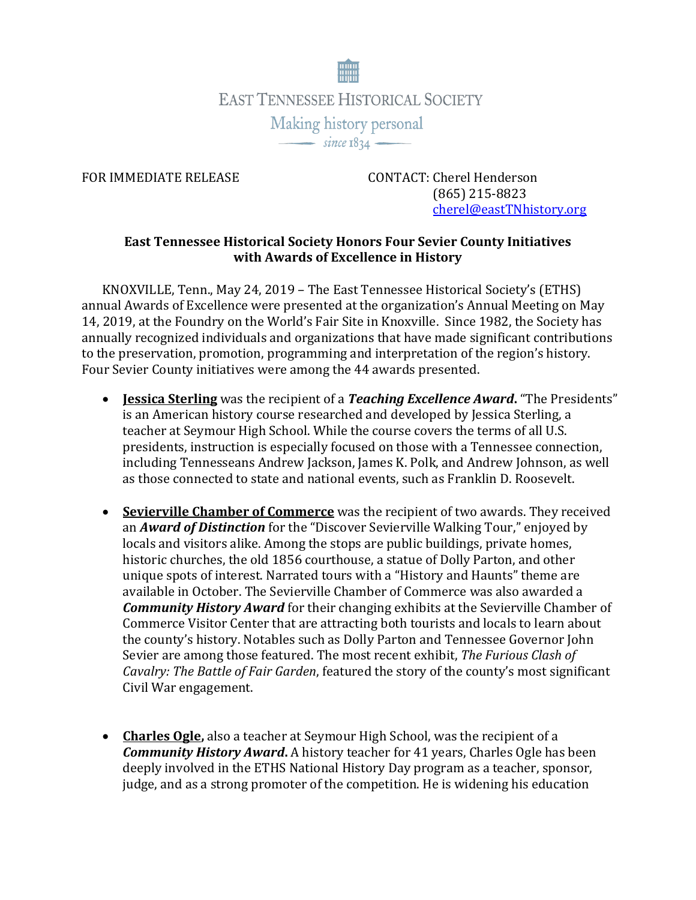

FOR IMMEDIATE RELEASE CONTACT: Cherel Henderson (865) 215-8823 [cherel@eastTNhistory.org](mailto:cherel@eastTNhistory.org)

## **East Tennessee Historical Society Honors Four Sevier County Initiatives with Awards of Excellence in History**

KNOXVILLE, Tenn., May 24, 2019 – The East Tennessee Historical Society's (ETHS) annual Awards of Excellence were presented at the organization's Annual Meeting on May 14, 2019, at the Foundry on the World's Fair Site in Knoxville. Since 1982, the Society has annually recognized individuals and organizations that have made significant contributions to the preservation, promotion, programming and interpretation of the region's history. Four Sevier County initiatives were among the 44 awards presented.

- **Jessica Sterling** was the recipient of a *Teaching Excellence Award***.** "The Presidents" is an American history course researched and developed by Jessica Sterling, a teacher at Seymour High School. While the course covers the terms of all U.S. presidents, instruction is especially focused on those with a Tennessee connection, including Tennesseans Andrew Jackson, James K. Polk, and Andrew Johnson, as well as those connected to state and national events, such as Franklin D. Roosevelt.
- **Sevierville Chamber of Commerce** was the recipient of two awards. They received an *Award of Distinction* for the "Discover Sevierville Walking Tour," enjoyed by locals and visitors alike. Among the stops are public buildings, private homes, historic churches, the old 1856 courthouse, a statue of Dolly Parton, and other unique spots of interest. Narrated tours with a "History and Haunts" theme are available in October. The Sevierville Chamber of Commerce was also awarded a *Community History Award* for their changing exhibits at the Sevierville Chamber of Commerce Visitor Center that are attracting both tourists and locals to learn about the county's history. Notables such as Dolly Parton and Tennessee Governor John Sevier are among those featured. The most recent exhibit, *The Furious Clash of Cavalry: The Battle of Fair Garden*, featured the story of the county's most significant Civil War engagement.
- **Charles Ogle,** also a teacher at Seymour High School, was the recipient of a *Community History Award***.** A history teacher for 41 years, Charles Ogle has been deeply involved in the ETHS National History Day program as a teacher, sponsor, judge, and as a strong promoter of the competition. He is widening his education